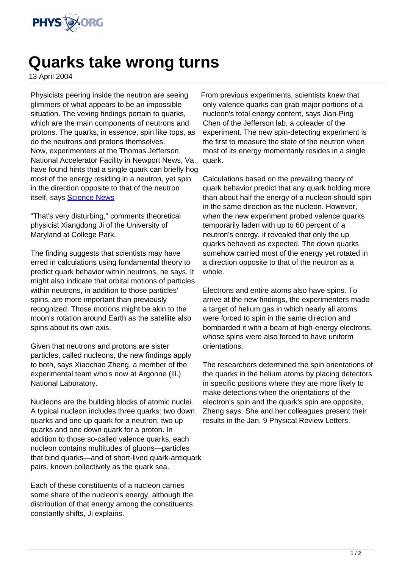

## **Quarks take wrong turns**

13 April 2004

Physicists peering inside the neutron are seeing glimmers of what appears to be an impossible situation. The vexing findings pertain to quarks, which are the main components of neutrons and protons. The quarks, in essence, spin like tops, as do the neutrons and protons themselves. Now, experimenters at the Thomas Jefferson National Accelerator Facility in Newport News, Va., have found hints that a single quark can briefly hog most of the energy residing in a neutron, yet spin in the direction opposite to that of the neutron itself, says Science News

"That's very disturbing," comments theoretical physicist Xiangdong Ji of the University of Maryland at College Park.

The finding suggests that scientists may have erred in calculations using fundamental theory to predict quark behavior within neutrons, he says. It might also indicate that orbital motions of particles within neutrons, in addition to those particles' spins, are more important than previously recognized. Those motions might be akin to the moon's rotation around Earth as the satellite also spins about its own axis.

Given that neutrons and protons are sister particles, called nucleons, the new findings apply to both, says Xiaochao Zheng, a member of the experimental team who's now at Argonne (Ill.) National Laboratory.

Nucleons are the building blocks of atomic nuclei. A typical nucleon includes three quarks: two down quarks and one up quark for a neutron; two up quarks and one down quark for a proton. In addition to those so-called valence quarks, each nucleon contains multitudes of gluons—particles that bind quarks—and of short-lived quark-antiquark pairs, known collectively as the quark sea.

Each of these constituents of a nucleon carries some share of the nucleon's energy, although the distribution of that energy among the constituents constantly shifts, Ji explains.

From previous experiments, scientists knew that only valence quarks can grab major portions of a nucleon's total energy content, says Jian-Ping Chen of the Jefferson lab, a coleader of the experiment. The new spin-detecting experiment is the first to measure the state of the neutron when most of its energy momentarily resides in a single quark.

Calculations based on the prevailing theory of quark behavior predict that any quark holding more than about half the energy of a nucleon should spin in the same direction as the nucleon. However, when the new experiment probed valence quarks temporarily laden with up to 60 percent of a neutron's energy, it revealed that only the up quarks behaved as expected. The down quarks somehow carried most of the energy yet rotated in a direction opposite to that of the neutron as a whole.

Electrons and entire atoms also have spins. To arrive at the new findings, the experimenters made a target of helium gas in which nearly all atoms were forced to spin in the same direction and bombarded it with a beam of high-energy electrons, whose spins were also forced to have uniform orientations.

The researchers determined the spin orientations of the quarks in the helium atoms by placing detectors in specific positions where they are more likely to make detections when the orientations of the electron's spin and the quark's spin are opposite, Zheng says. She and her colleagues present their results in the Jan. 9 Physical Review Letters.